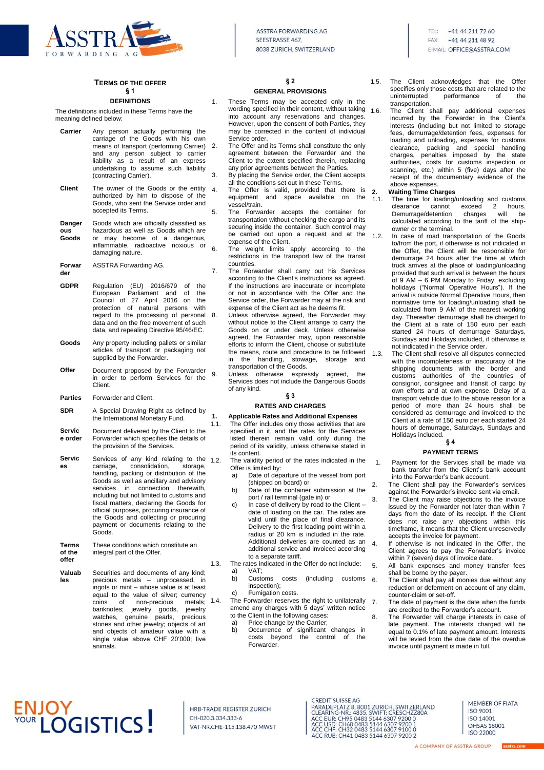

#### **TERMS OF THE OFFER § 1**

#### **DEFINITIONS**

The definitions included in these Terms have the meaning defined below:

| Carrier | Any person actually performing the<br>carriage of the Goods with his own<br>means of transport (performing Carrier)<br>and any person subject to carrier<br>liability as a result of an express<br>undertaking to assume such liability<br>(contracting Carrier). |
|---------|-------------------------------------------------------------------------------------------------------------------------------------------------------------------------------------------------------------------------------------------------------------------|
| Client  | The owner of the Goods or the entity                                                                                                                                                                                                                              |

- authorized by him to dispose of the Goods, who sent the Service order and accepted its Terms.
- **Danger ous Goods** Goods which are officially classified as hazardous as well as Goods which are or may become of a dangerous, inflammable, radioactive noxious or damaging nature.
- **Forwar der** ASSTRA Forwarding AG.
- **GDPR** Regulation (EU) 2016/679 of the European Parliament and Council of 27 April 2016 on the<br>protection of natural persons with protection of natural regard to the processing of personal data and on the free movement of such data, and repealing Directive 95/46/EC.
- **Goods** Any property including pallets or similar articles of transport or packaging not supplied by the Forwarder.
- **Offer** Document proposed by the Forwarder in order to perform Services for the **Client**
- **Parties** Forwarder and Client.
- **SDR** A Special Drawing Right as defined by the International Monetary Fund.
- **Servic e order** Document delivered by the Client to the Forwarder which specifies the details of the provision of the Services.
- **Servic es** Services of any kind relating to the 1.2.<br>carriage, consolidation, storage, carriage, consolidation, handling, packing or distribution of the Goods as well as ancillary and advisory services in connection therewith. including but not limited to customs and fiscal matters, declaring the Goods for official purposes, procuring insurance of the Goods and collecting or procuring payment or documents relating to the Goods.
- **Terms of the offer** These conditions which constitute an integral part of the Offer.
- **Valuab les** Securities and documents of any kind; precious metals – unprocessed, in ingots or mint – whose value is at least equal to the value of silver; currency coins of non-precious metals;<br>banknotes iewelry goods iewelry banknotes; jewelry goods, watches, genuine pearls, precious stones and other jewelry; objects of art and objects of amateur value with a single value above CHF 20'000; live animals.

# **§ 2**

### **GENERAL PROVISIONS**

- 1. These Terms may be accepted only in the wording specified in their content, without taking into account any reservations and changes. However, upon the consent of both Parties, they may be corrected in the content of individual Service order.
- 2. The Offer and its Terms shall constitute the only agreement between the Forwarder and the Client to the extent specified therein, replacing any prior agreements between the Parties. 3. By placing the Service order, the Client accepts
	- all the conditions set out in these Terms. The Offer is valid, provided that there is equipment and space available on the vessel/train.
- 5. The Forwarder accepts the container for transportation without checking the cargo and its securing inside the container. Such control may be carried out upon a request and at the expense of the Client.
- 6. The weight limits apply according to the restrictions in the transport law of the transit countries.
- 7. The Forwarder shall carry out his Services according to the Client's instructions as agreed. If the instructions are inaccurate or incomplete or not in accordance with the Offer and the Service order, the Forwarder may at the risk and expense of the Client act as he deems fit.
- 8. Unless otherwise agreed, the Forwarder may without notice to the Client arrange to carry the Goods on or under deck. Unless otherwise agreed, the Forwarder may, upon reasonable efforts to inform the Client, choose or substitute the means, route and procedure to be followed<br>in the handling, stowage, storage and stowage, storage transportation of the Goods.
- 9. Unless otherwise expressly agreed, the Services does not include the Dangerous Goods of any kind.

#### **§ 3**

#### **RATES AND CHARGES**

# **1. Applicable Rates and Additional Expenses**

The Offer includes only those activities that are specified in it, and the rates for the Services listed therein remain valid only during the period of its validity, unless otherwise stated in its content.

The validity period of the rates indicated in the Offer is limited by:

- a) Date of departure of the vessel from port (shipped on board) or
- b) Date of the container submission at the port / rail terminal (gate in) or
- In case of delivery by road to the Client date of loading on the car. The rates are valid until the place of final clearance. Delivery to the first loading point within a radius of 20 km is included in the rate. Additional deliveries are counted as an additional service and invoiced according to a separate tariff.
- 1.3. The rates indicated in the Offer do not include: a)  $VAT$ 
	- b) Customs costs (including customs inspection);
	- c) Fumigation costs.

1.4. The Forwarder reserves the right to unilaterally 7 amend any charges with 5 days' written notice to the Client in the following cases: a) Price change by the Carrier;

b) Occurrence of significant changes in costs beyond the control of the Forwarder.

- 1.5. The Client acknowledges that the Offer specifies only those costs that are related to the uninterrupted performance of the transportation.
- 1.6. The Client shall pay additional expenses incurred by the Forwarder in the Client's interests (including but not limited to storage fees, demurrage/detention fees, expenses for loading and unloading, expenses for customs clearance, packing and special handling charges, penalties imposed by the state authorities, costs for customs inspection or scanning, etc.) within 5 (five) days after the receipt of the documentary evidence of the above expenses.

#### **2. Waiting Time Charges**

1.1. The time for loading/unloading and customs clearance cannot exceed 2 hours. Demurrage/detention charges will be calculated according to the tariff of the shipowner or the terminal.

- 1.2. In case of road transportation of the Goods to/from the port, if otherwise is not indicated in the Offer, the Client will be responsible for demurrage 24 hours after the time at which truck arrives at the place of loading/unloading provided that such arrival is between the hours of 9 AM – 6 PM Monday to Friday, excluding holidays ("Normal Operative Hours"). If the arrival is outside Normal Operative Hours, then normative time for loading/unloading shall be calculated from 9 AM of the nearest working day. Thereafter demurrage shall be charged to the Client at a rate of 150 euro per each started 24 hours of demurrage Saturdays, Sundays and Holidays included, if otherwise is not indicated in the Service order.
- 1.3. The Client shall resolve all disputes connected with the incompleteness or inaccuracy of the shipping documents with the border and customs authorities of the countries of consignor, consignee and transit of cargo by own efforts and at own expense. Delay of a transport vehicle due to the above reason for a period of more than 24 hours shall be considered as demurrage and invoiced to the Client at a rate of 150 euro per each started 24 hours of demurrage, Saturdays, Sundays and Holidays included.

### **§ 4**

#### **PAYMENT TERMS**

- 1. Payment for the Services shall be made via bank transfer from the Client's bank account into the Forwarder's bank account.
- 2. The Client shall pay the Forwarder's services against the Forwarder's invoice sent via email.
- 3. The Client may raise objections to the invoice issued by the Forwarder not later than within 7 days from the date of its receipt. If the Client does not raise any objections within this timeframe, it means that the Client unreservedly accepts the invoice for payment.
- 4. If otherwise is not indicated in the Offer, the Client agrees to pay the Forwarder's invoice within 7 (seven) days of invoice date.
- 5. All bank expenses and money transfer fees shall be borne by the payer.
- 6. The Client shall pay all monies due without any reduction or deferment on account of any claim, counter-claim or set-off.
	- The date of payment is the date when the funds are credited to the Forwarder's account.
- 8. The Forwarder will charge interests in case of late payment. The interests charged will be equal to 0.1% of late payment amount. Interests will be levied from the due date of the overdue invoice until payment is made in full.

# **ENJOY<br>YOUR LOGISTICS!**

HRB-TRADE REGISTER ZURICH CH-020.3.034.333-6 VAT-NR.CHE-115.138.470 MWST **CREDIT SUISSE AG** 

MEMBER OF FIATA **ISO 9001** ISO 14001 **OHSAS 18001** ISO 22000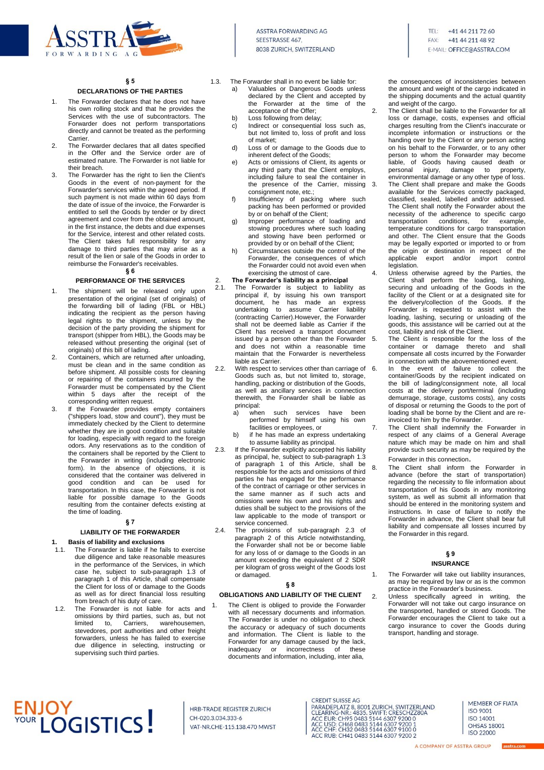

TFL: +41 44 211 72 60 FAY-+41 44 211 48 92 **E-MAIL: OFFICE@ASSTRA.COM** 

#### **§ 5**

### **DECLARATIONS OF THE PARTIES**

- 1. The Forwarder declares that he does not have his own rolling stock and that he provides the Services with the use of subcontractors. The Forwarder does not perform transportations directly and cannot be treated as the performing Carrier.
- 2. The Forwarder declares that all dates specified in the Offer and the Service order are of estimated nature. The Forwarder is not liable for their breach.
- 3. The Forwarder has the right to lien the Client's Goods in the event of non-payment for the Forwarder's services within the agreed period. If such payment is not made within 60 days from the date of issue of the invoice, the Forwarder is entitled to sell the Goods by tender or by direct agreement and cover from the obtained amount in the first instance, the debts and due expenses for the Service, interest and other related costs. The Client takes full responsibility for any damage to third parties that may arise as a result of the lien or sale of the Goods in order to reimburse the Forwarder's receivables. **§ 6**

#### **PERFORMANCE OF THE SERVICES**

- 1. The shipment will be released only upon presentation of the original (set of originals) of the forwarding bill of lading (FBL or HBL) indicating the recipient as the person having legal rights to the shipment, unless by the decision of the party providing the shipment for transport (shipper from HBL), the Goods may be released without presenting the original (set of originals) of this bill of lading.
- 2. Containers, which are returned after unloading, must be clean and in the same condition as before shipment. All possible costs for cleaning or repairing of the containers incurred by the Forwarder must be compensated by the Client within 5 days after the receipt of the corresponding written request.
- 3. If the Forwarder provides empty containers ("shippers load, stow and count"), they must be immediately checked by the Client to determine whether they are in good condition and suitable for loading, especially with regard to the foreign odors. Any reservations as to the condition of the containers shall be reported by the Client to the Forwarder in writing (including electronic form). In the absence of objections, it is considered that the container was delivered in good condition and can be used for transportation. In this case, the Forwarder is not liable for possible damage to the Goods resulting from the container defects existing at the time of loading.

#### **§ 7**

#### **LIABILITY OF THE FORWARDER**

#### **1. Basis of liability and exclusions**

- 1.1. The Forwarder is liable if he fails to exercise due diligence and take reasonable measures in the performance of the Services, in which case he, subject to sub-paragraph 1.3 of paragraph 1 of this Article, shall compensate the Client for loss of or damage to the Goods as well as for direct financial loss resulting from breach of his duty of care.
- 1.2. The Forwarder is not liable for acts and omissions by third parties, such as, but not<br>limited to. Carriers. warehousemen. limited to, Carriers, stevedores, port authorities and other freight forwarders, unless he has failed to exercise due diligence in selecting, instructing or supervising such third parties.

# **ENJOY<br>YOUR LOGISTICS!**

HRB-TRADE REGISTER ZURICH CH-020.3.034.333-6 VAT-NR.CHE-115.138.470 MWST

- 1.3. The Forwarder shall in no event be liable for:
	- a) Valuables or Dangerous Goods unless declared by the Client and accepted by the Forwarder at the time of the acceptance of the Offer;
	- b) Loss following from delay;
	- c) Indirect or consequential loss such as, but not limited to, loss of profit and loss of market;
	- d) Loss of or damage to the Goods due to inherent defect of the Goods;
	- e) Acts or omissions of Client, its agents or any third party that the Client employs, including failure to seal the container in the presence of the Carrier, missing consignment note, etc.;
	- f) Insufficiency of packing where such packing has been performed or provided by or on behalf of the Client;
	- g) Improper performance of loading and stowing procedures where such loading and stowing have been performed or provided by or on behalf of the Client;
	- h) Circumstances outside the control of the Forwarder, the consequences of which the Forwarder could not avoid even when exercising the utmost of care.

- 2. **The Forwarder's liability as a principal** The Forwarder is subject to liability as principal if, by issuing his own transport document, he has made an express undertaking to assume Carrier liability (contracting Carrier).However, the Forwarder shall not be deemed liable as Carrier if the Client has received a transport document issued by a person other than the Forwarder 5. and does not within a reasonable time maintain that the Forwarder is nevertheless liable as Carrier.
- 2.2. With respect to services other than carriage of 6. Goods such as, but not limited to, storage, handling, packing or distribution of the Goods, as well as ancillary services in connection therewith, the Forwarder shall be liable as principal:<br>a) when
	- such services have been performed by himself using his own facilities or employees, or
	- b) if he has made an express undertaking to assume liability as principal.
- 2.3. If the Forwarder explicitly accepted his liability as principal, he, subject to sub-paragraph 1.3 of paragraph 1 of this Article, shall be responsible for the acts and omissions of third parties he has engaged for the performance of the contract of carriage or other services in the same manner as if such acts and omissions were his own and his rights and duties shall be subject to the provisions of the law applicable to the mode of transport or service concerned.
- 2.4. The provisions of sub-paragraph 2.3 of paragraph 2 of this Article notwithstanding, the Forwarder shall not be or become liable for any loss of or damage to the Goods in an amount exceeding the equivalent of 2 SDR per kilogram of gross weight of the Goods lost or damaged.

#### **§ 8**

#### **OBLIGATIONS AND LIABILITY OF THE CLIENT**

The Client is obliged to provide the Forwarder with all necessary documents and information. The Forwarder is under no obligation to check the accuracy or adequacy of such documents and information. The Client is liable to the Forwarder for any damage caused by the lack, inadequacy or incorrectness of these documents and information, including, inter alia,

**CREDIT SUISSE AG** 

CREDIT SUISSE AG<br>
PARADEPLATZ 8, 8001 ZURICH, SWITZERLAND<br>
CLEARING-NR.: 4835. SWIFT: CRESCHZZ80A<br>
ACC USD: CH95 0483 5144 6307 9200 0<br>
ACC USD: CH68 0483 5144 6307 9200 1<br>
ACC CHF: CH32 0483 5144 6307 9100 0<br>
ACC CHF: CH3

ACC RUB: CH41 0483 5144 6307 9200 2

the consequences of inconsistencies between the amount and weight of the cargo indicated in the shipping documents and the actual quantity and weight of the cargo.

- 2. The Client shall be liable to the Forwarder for all loss or damage, costs, expenses and official charges resulting from the Client's inaccurate or incomplete information or instructions or the handing over by the Client or any person acting on his behalf to the Forwarder, or to any other person to whom the Forwarder may become liable, of Goods having caused death or personal injury, damage to property, environmental damage or any other type of loss. 3. The Client shall prepare and make the Goods available for the Services correctly packaged, classified, sealed, labelled and/or addressed. The Client shall notify the Forwarder about the necessity of the adherence to specific cargo<br>transportation conditions, for example, conditions, for example, temperature conditions for cargo transportation and other. The Client ensure that the Goods may be legally exported or imported to or from the origin or destination in respect of the<br>applicable export and/or import control export and/or import control legislation.
- 4. Unless otherwise agreed by the Parties, the Client shall perform the loading, lashing, securing and unloading of the Goods in the facility of the Client or at a designated site for the delivery/collection of the Goods. If the Forwarder is requested to assist with the loading, lashing, securing or unloading of the goods, this assistance will be carried out at the cost, liability and risk of the Client.
	- The Client is responsible for the loss of the container or damage thereto and shall compensate all costs incurred by the Forwarder in connection with the abovementioned event.
	- In the event of failure to collect the container/Goods by the recipient indicated on the bill of lading/consignment note, all local costs at the delivery port/terminal (including demurrage, storage, customs costs), any costs of disposal or returning the Goods to the port of loading shall be borne by the Client and are reinvoiced to him by the Forwarder.
- 7. The Client shall indemnify the Forwarder in respect of any claims of a General Average nature which may be made on him and shall provide such security as may be required by the Forwarder in this connection.
- 8. The Client shall inform the Forwarder in advance (before the start of transportation) regarding the necessity to file information about transportation of his Goods in any monitoring system, as well as submit all information that should be entered in the monitoring system and instructions. In case of failure to notify the Forwarder in advance, the Client shall bear full liability and compensate all losses incurred by the Forwarder in this regard.

## **§ 9**

#### **INSURANCE**

1. The Forwarder will take out liability insurances, as may be required by law or as is the common practice in the Forwarder's business.

2. Unless specifically agreed in writing, the Forwarder will not take out cargo insurance on the transported, handled or stored Goods. The Forwarder encourages the Client to take out a cargo insurance to cover the Goods during transport, handling and storage.

> MEMBER OF FIATA **ISO 9001** ISO 14001 **OHSAS 18001** ISO 22000